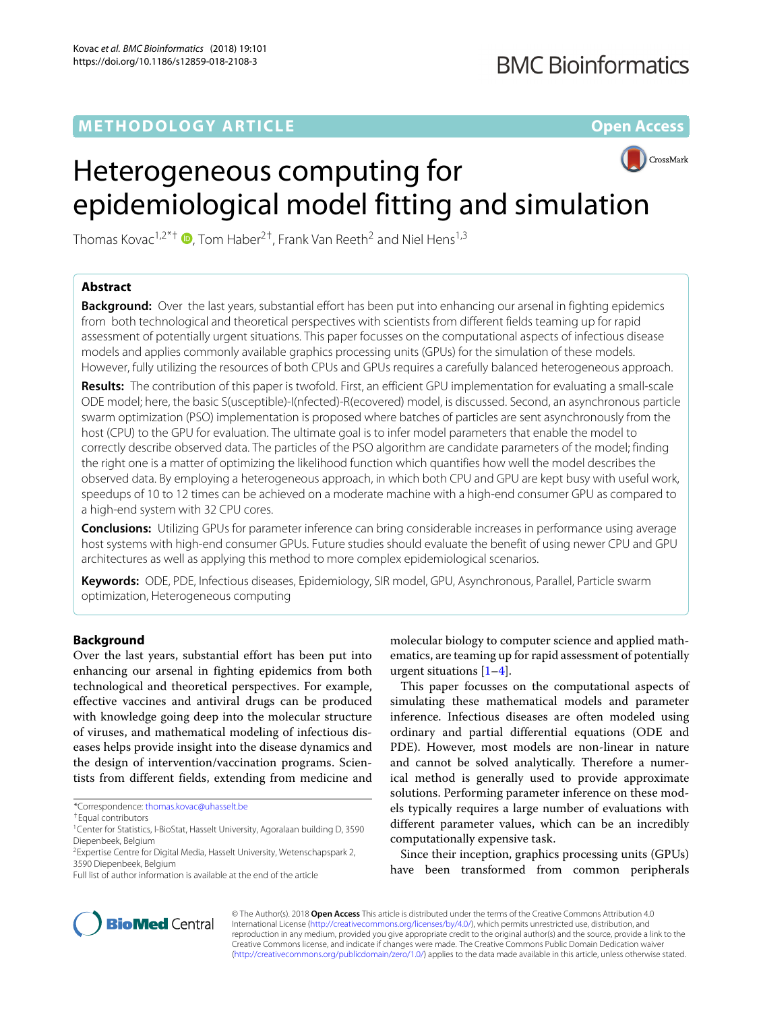# **METHODOLOGY ARTICLE CONSUMING THE CONSUMING OPEN Access**



# Heterogeneous computing for epidemiological model fitting and simulation

Thomas Kovac<sup>1[,](http://orcid.org/0000-0002-3235-5151)2\*†</sup>  $\bullet$ , Tom Haber<sup>2†</sup>, Frank Van Reeth<sup>2</sup> and Niel Hens<sup>1,3</sup>

# **Abstract**

**Background:** Over the last years, substantial effort has been put into enhancing our arsenal in fighting epidemics from both technological and theoretical perspectives with scientists from different fields teaming up for rapid assessment of potentially urgent situations. This paper focusses on the computational aspects of infectious disease models and applies commonly available graphics processing units (GPUs) for the simulation of these models. However, fully utilizing the resources of both CPUs and GPUs requires a carefully balanced heterogeneous approach.

**Results:** The contribution of this paper is twofold. First, an efficient GPU implementation for evaluating a small-scale ODE model; here, the basic S(usceptible)-I(nfected)-R(ecovered) model, is discussed. Second, an asynchronous particle swarm optimization (PSO) implementation is proposed where batches of particles are sent asynchronously from the host (CPU) to the GPU for evaluation. The ultimate goal is to infer model parameters that enable the model to correctly describe observed data. The particles of the PSO algorithm are candidate parameters of the model; finding the right one is a matter of optimizing the likelihood function which quantifies how well the model describes the observed data. By employing a heterogeneous approach, in which both CPU and GPU are kept busy with useful work, speedups of 10 to 12 times can be achieved on a moderate machine with a high-end consumer GPU as compared to a high-end system with 32 CPU cores.

**Conclusions:** Utilizing GPUs for parameter inference can bring considerable increases in performance using average host systems with high-end consumer GPUs. Future studies should evaluate the benefit of using newer CPU and GPU architectures as well as applying this method to more complex epidemiological scenarios.

**Keywords:** ODE, PDE, Infectious diseases, Epidemiology, SIR model, GPU, Asynchronous, Parallel, Particle swarm optimization, Heterogeneous computing

# **Background**

Over the last years, substantial effort has been put into enhancing our arsenal in fighting epidemics from both technological and theoretical perspectives. For example, effective vaccines and antiviral drugs can be produced with knowledge going deep into the molecular structure of viruses, and mathematical modeling of infectious diseases helps provide insight into the disease dynamics and the design of intervention/vaccination programs. Scientists from different fields, extending from medicine and molecular biology to computer science and applied mathematics, are teaming up for rapid assessment of potentially urgent situations [\[1](#page-9-0)[–4\]](#page-9-1).

This paper focusses on the computational aspects of simulating these mathematical models and parameter inference. Infectious diseases are often modeled using ordinary and partial differential equations (ODE and PDE). However, most models are non-linear in nature and cannot be solved analytically. Therefore a numerical method is generally used to provide approximate solutions. Performing parameter inference on these models typically requires a large number of evaluations with different parameter values, which can be an incredibly computationally expensive task.

Since their inception, graphics processing units (GPUs) have been transformed from common peripherals



© The Author(s). 2018 **Open Access** This article is distributed under the terms of the Creative Commons Attribution 4.0 International License [\(http://creativecommons.org/licenses/by/4.0/\)](http://creativecommons.org/licenses/by/4.0/), which permits unrestricted use, distribution, and reproduction in any medium, provided you give appropriate credit to the original author(s) and the source, provide a link to the Creative Commons license, and indicate if changes were made. The Creative Commons Public Domain Dedication waiver [\(http://creativecommons.org/publicdomain/zero/1.0/\)](http://creativecommons.org/publicdomain/zero/1.0/) applies to the data made available in this article, unless otherwise stated.

<sup>\*</sup>Correspondence: [thomas.kovac@uhasselt.be](mailto: thomas.kovac@uhasselt.be)

<sup>†</sup>Equal contributors

<sup>&</sup>lt;sup>1</sup> Center for Statistics, I-BioStat, Hasselt University, Agoralaan building D, 3590 Diepenbeek, Belgium

<sup>&</sup>lt;sup>2</sup> Expertise Centre for Digital Media, Hasselt University, Wetenschapspark 2, 3590 Diepenbeek, Belgium

Full list of author information is available at the end of the article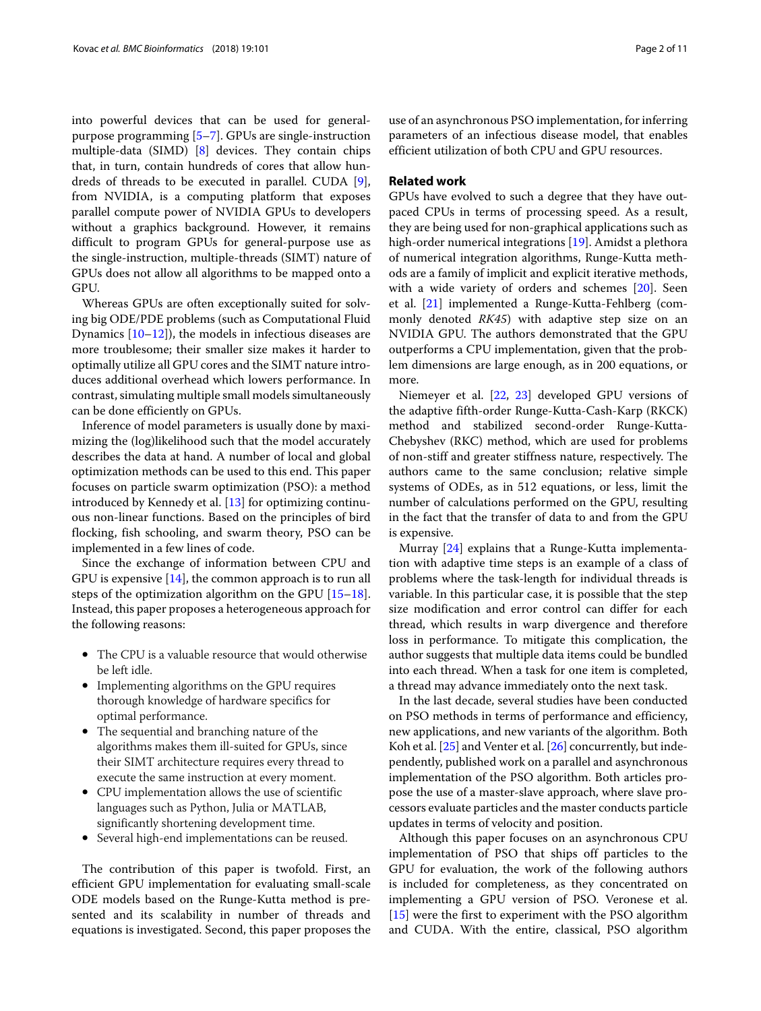into powerful devices that can be used for generalpurpose programming [\[5](#page-9-2)[–7\]](#page-9-3). GPUs are single-instruction multiple-data (SIMD) [\[8\]](#page-9-4) devices. They contain chips that, in turn, contain hundreds of cores that allow hundreds of threads to be executed in parallel. CUDA [\[9\]](#page-9-5), from NVIDIA, is a computing platform that exposes parallel compute power of NVIDIA GPUs to developers without a graphics background. However, it remains difficult to program GPUs for general-purpose use as the single-instruction, multiple-threads (SIMT) nature of GPUs does not allow all algorithms to be mapped onto a GPU.

Whereas GPUs are often exceptionally suited for solving big ODE/PDE problems (such as Computational Fluid Dynamics  $[10-12]$  $[10-12]$ ), the models in infectious diseases are more troublesome; their smaller size makes it harder to optimally utilize all GPU cores and the SIMT nature introduces additional overhead which lowers performance. In contrast, simulating multiple small models simultaneously can be done efficiently on GPUs.

Inference of model parameters is usually done by maximizing the (log)likelihood such that the model accurately describes the data at hand. A number of local and global optimization methods can be used to this end. This paper focuses on particle swarm optimization (PSO): a method introduced by Kennedy et al. [\[13\]](#page-9-8) for optimizing continuous non-linear functions. Based on the principles of bird flocking, fish schooling, and swarm theory, PSO can be implemented in a few lines of code.

Since the exchange of information between CPU and GPU is expensive [\[14\]](#page-9-9), the common approach is to run all steps of the optimization algorithm on the GPU  $[15-18]$  $[15-18]$ . Instead, this paper proposes a heterogeneous approach for the following reasons:

- The CPU is a valuable resource that would otherwise be left idle.
- Implementing algorithms on the GPU requires thorough knowledge of hardware specifics for optimal performance.
- The sequential and branching nature of the algorithms makes them ill-suited for GPUs, since their SIMT architecture requires every thread to execute the same instruction at every moment.
- CPU implementation allows the use of scientific languages such as Python, Julia or MATLAB, significantly shortening development time.
- Several high-end implementations can be reused.

The contribution of this paper is twofold. First, an efficient GPU implementation for evaluating small-scale ODE models based on the Runge-Kutta method is presented and its scalability in number of threads and equations is investigated. Second, this paper proposes the use of an asynchronous PSO implementation, for inferring parameters of an infectious disease model, that enables efficient utilization of both CPU and GPU resources.

# **Related work**

GPUs have evolved to such a degree that they have outpaced CPUs in terms of processing speed. As a result, they are being used for non-graphical applications such as high-order numerical integrations [\[19\]](#page-9-12). Amidst a plethora of numerical integration algorithms, Runge-Kutta methods are a family of implicit and explicit iterative methods, with a wide variety of orders and schemes [\[20\]](#page-9-13). Seen et al. [\[21\]](#page-9-14) implemented a Runge-Kutta-Fehlberg (commonly denoted *RK45*) with adaptive step size on an NVIDIA GPU. The authors demonstrated that the GPU outperforms a CPU implementation, given that the problem dimensions are large enough, as in 200 equations, or more.

Niemeyer et al. [\[22,](#page-10-0) [23\]](#page-10-1) developed GPU versions of the adaptive fifth-order Runge-Kutta-Cash-Karp (RKCK) method and stabilized second-order Runge-Kutta-Chebyshev (RKC) method, which are used for problems of non-stiff and greater stiffness nature, respectively. The authors came to the same conclusion; relative simple systems of ODEs, as in 512 equations, or less, limit the number of calculations performed on the GPU, resulting in the fact that the transfer of data to and from the GPU is expensive.

Murray [\[24\]](#page-10-2) explains that a Runge-Kutta implementation with adaptive time steps is an example of a class of problems where the task-length for individual threads is variable. In this particular case, it is possible that the step size modification and error control can differ for each thread, which results in warp divergence and therefore loss in performance. To mitigate this complication, the author suggests that multiple data items could be bundled into each thread. When a task for one item is completed, a thread may advance immediately onto the next task.

In the last decade, several studies have been conducted on PSO methods in terms of performance and efficiency, new applications, and new variants of the algorithm. Both Koh et al. [\[25\]](#page-10-3) and Venter et al. [\[26\]](#page-10-4) concurrently, but independently, published work on a parallel and asynchronous implementation of the PSO algorithm. Both articles propose the use of a master-slave approach, where slave processors evaluate particles and the master conducts particle updates in terms of velocity and position.

Although this paper focuses on an asynchronous CPU implementation of PSO that ships off particles to the GPU for evaluation, the work of the following authors is included for completeness, as they concentrated on implementing a GPU version of PSO. Veronese et al. [\[15\]](#page-9-10) were the first to experiment with the PSO algorithm and CUDA. With the entire, classical, PSO algorithm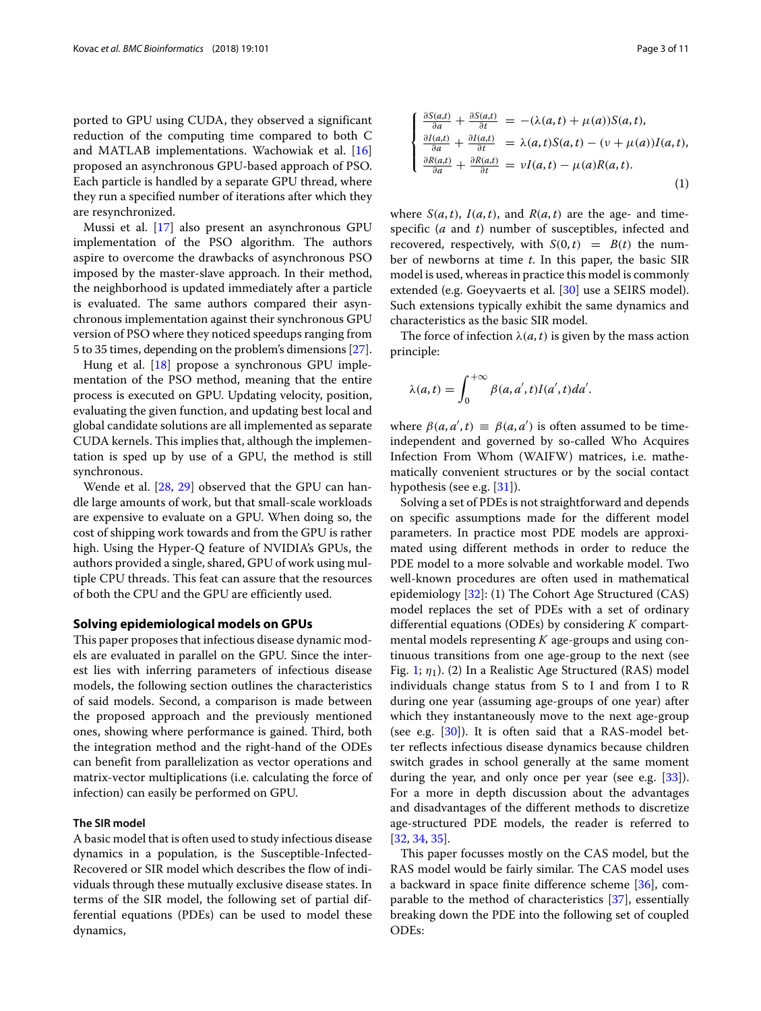ported to GPU using CUDA, they observed a significant reduction of the computing time compared to both C and MATLAB implementations. Wachowiak et al. [\[16\]](#page-9-15) proposed an asynchronous GPU-based approach of PSO. Each particle is handled by a separate GPU thread, where they run a specified number of iterations after which they are resynchronized.

Mussi et al. [\[17\]](#page-9-16) also present an asynchronous GPU implementation of the PSO algorithm. The authors aspire to overcome the drawbacks of asynchronous PSO imposed by the master-slave approach. In their method, the neighborhood is updated immediately after a particle is evaluated. The same authors compared their asynchronous implementation against their synchronous GPU version of PSO where they noticed speedups ranging from 5 to 35 times, depending on the problem's dimensions [\[27\]](#page-10-5).

Hung et al. [\[18\]](#page-9-11) propose a synchronous GPU implementation of the PSO method, meaning that the entire process is executed on GPU. Updating velocity, position, evaluating the given function, and updating best local and global candidate solutions are all implemented as separate CUDA kernels. This implies that, although the implementation is sped up by use of a GPU, the method is still synchronous.

Wende et al. [\[28,](#page-10-6) [29\]](#page-10-7) observed that the GPU can handle large amounts of work, but that small-scale workloads are expensive to evaluate on a GPU. When doing so, the cost of shipping work towards and from the GPU is rather high. Using the Hyper-Q feature of NVIDIA's GPUs, the authors provided a single, shared, GPU of work using multiple CPU threads. This feat can assure that the resources of both the CPU and the GPU are efficiently used.

## **Solving epidemiological models on GPUs**

This paper proposes that infectious disease dynamic models are evaluated in parallel on the GPU. Since the interest lies with inferring parameters of infectious disease models, the following section outlines the characteristics of said models. Second, a comparison is made between the proposed approach and the previously mentioned ones, showing where performance is gained. Third, both the integration method and the right-hand of the ODEs can benefit from parallelization as vector operations and matrix-vector multiplications (i.e. calculating the force of infection) can easily be performed on GPU.

# **The SIR model**

A basic model that is often used to study infectious disease dynamics in a population, is the Susceptible-Infected-Recovered or SIR model which describes the flow of individuals through these mutually exclusive disease states. In terms of the SIR model, the following set of partial differential equations (PDEs) can be used to model these dynamics,

$$
\begin{cases}\n\frac{\partial S(a,t)}{\partial a} + \frac{\partial S(a,t)}{\partial t} = -(\lambda(a,t) + \mu(a))S(a,t),\\ \n\frac{\partial I(a,t)}{\partial a} + \frac{\partial I(a,t)}{\partial t} = \lambda(a,t)S(a,t) - (\nu + \mu(a))I(a,t),\\ \n\frac{\partial R(a,t)}{\partial a} + \frac{\partial R(a,t)}{\partial t} = \nu I(a,t) - \mu(a)R(a,t).\n\end{cases}
$$
\n(1)

where  $S(a, t)$ ,  $I(a, t)$ , and  $R(a, t)$  are the age- and timespecific (*a* and *t*) number of susceptibles, infected and recovered, respectively, with  $S(0, t) = B(t)$  the number of newborns at time *t*. In this paper, the basic SIR model is used, whereas in practice this model is commonly extended (e.g. Goeyvaerts et al. [\[30\]](#page-10-8) use a SEIRS model). Such extensions typically exhibit the same dynamics and characteristics as the basic SIR model.

The force of infection  $\lambda(a, t)$  is given by the mass action principle:

$$
\lambda(a,t) = \int_0^{+\infty} \beta(a,a',t) I(a',t) da'.
$$

where  $\beta(a, a', t) \equiv \beta(a, a')$  is often assumed to be timeindependent and governed by so-called Who Acquires Infection From Whom (WAIFW) matrices, i.e. mathematically convenient structures or by the social contact hypothesis (see e.g. [\[31\]](#page-10-9)).

Solving a set of PDEs is not straightforward and depends on specific assumptions made for the different model parameters. In practice most PDE models are approximated using different methods in order to reduce the PDE model to a more solvable and workable model. Two well-known procedures are often used in mathematical epidemiology [\[32\]](#page-10-10): (1) The Cohort Age Structured (CAS) model replaces the set of PDEs with a set of ordinary differential equations (ODEs) by considering *K* compartmental models representing *K* age-groups and using continuous transitions from one age-group to the next (see Fig. [1;](#page-3-0)  $\eta_1$ ). (2) In a Realistic Age Structured (RAS) model individuals change status from S to I and from I to R during one year (assuming age-groups of one year) after which they instantaneously move to the next age-group (see e.g. [\[30\]](#page-10-8)). It is often said that a RAS-model better reflects infectious disease dynamics because children switch grades in school generally at the same moment during the year, and only once per year (see e.g.  $[33]$ ). For a more in depth discussion about the advantages and disadvantages of the different methods to discretize age-structured PDE models, the reader is referred to [\[32,](#page-10-10) [34,](#page-10-12) [35\]](#page-10-13).

This paper focusses mostly on the CAS model, but the RAS model would be fairly similar. The CAS model uses a backward in space finite difference scheme [\[36\]](#page-10-14), comparable to the method of characteristics [\[37\]](#page-10-15), essentially breaking down the PDE into the following set of coupled ODEs: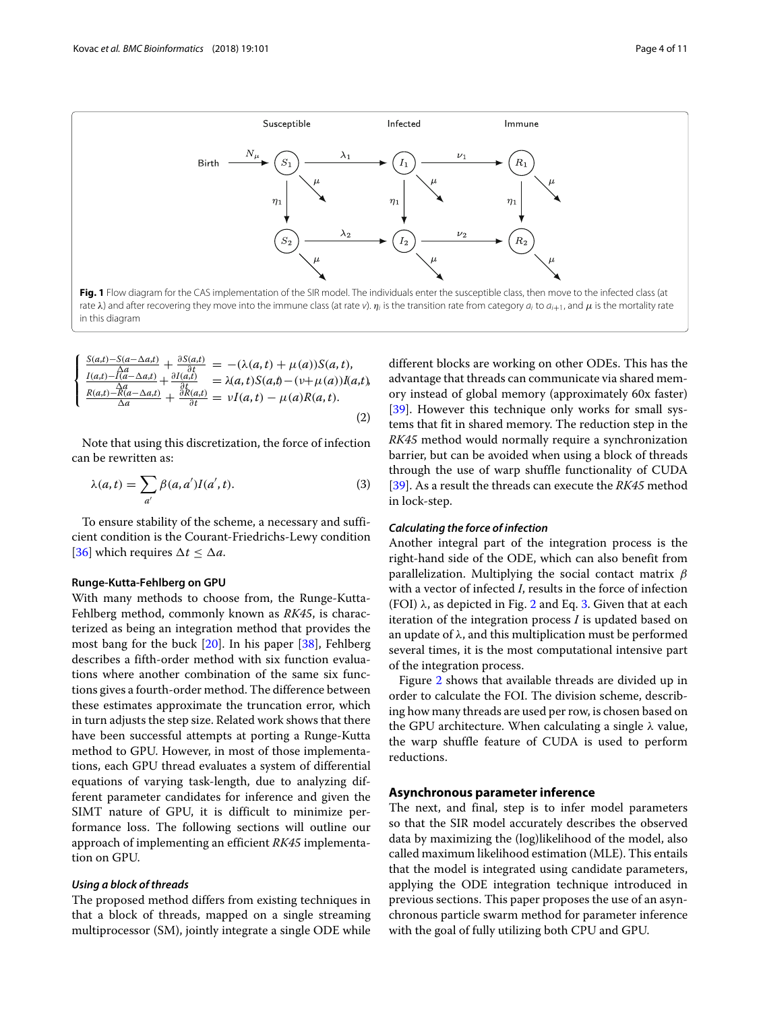

<span id="page-3-0"></span>
$$
\begin{cases}\n\frac{S(a,t) - S(a - \Delta a,t)}{\Delta a} + \frac{\partial S(a,t)}{\partial t} = -(\lambda(a,t) + \mu(a))S(a,t), \\
\frac{I(a,t) - I(a - \Delta a,t)}{\Delta a} + \frac{\partial I(a,t)}{\partial t} = \lambda(a,t)S(a,t) - (\nu + \mu(a))I(a,t), \\
\frac{R(a,t) - R(a - \Delta a,t)}{\Delta a} + \frac{\partial R(a,t)}{\partial t} = \nu I(a,t) - \mu(a)R(a,t).\n\end{cases}
$$
\n(2)

Note that using this discretization, the force of infection can be rewritten as:

<span id="page-3-1"></span>
$$
\lambda(a,t) = \sum_{a'} \beta(a,a')I(a',t). \tag{3}
$$

To ensure stability of the scheme, a necessary and sufficient condition is the Courant-Friedrichs-Lewy condition [\[36\]](#page-10-14) which requires  $\Delta t \leq \Delta a$ .

#### **Runge-Kutta-Fehlberg on GPU**

With many methods to choose from, the Runge-Kutta-Fehlberg method, commonly known as *RK45*, is characterized as being an integration method that provides the most bang for the buck [\[20\]](#page-9-13). In his paper [\[38\]](#page-10-16), Fehlberg describes a fifth-order method with six function evaluations where another combination of the same six functions gives a fourth-order method. The difference between these estimates approximate the truncation error, which in turn adjusts the step size. Related work shows that there have been successful attempts at porting a Runge-Kutta method to GPU. However, in most of those implementations, each GPU thread evaluates a system of differential equations of varying task-length, due to analyzing different parameter candidates for inference and given the SIMT nature of GPU, it is difficult to minimize performance loss. The following sections will outline our approach of implementing an efficient *RK45* implementation on GPU.

# *Using a block of threads*

The proposed method differs from existing techniques in that a block of threads, mapped on a single streaming multiprocessor (SM), jointly integrate a single ODE while different blocks are working on other ODEs. This has the advantage that threads can communicate via shared memory instead of global memory (approximately 60x faster) [\[39\]](#page-10-17). However this technique only works for small systems that fit in shared memory. The reduction step in the *RK45* method would normally require a synchronization barrier, but can be avoided when using a block of threads through the use of warp shuffle functionality of CUDA [\[39\]](#page-10-17). As a result the threads can execute the *RK45* method in lock-step.

# *Calculating the force of infection*

Another integral part of the integration process is the right-hand side of the ODE, which can also benefit from parallelization. Multiplying the social contact matrix  $\beta$ with a vector of infected *I*, results in the force of infection (FOI)  $\lambda$ , as depicted in Fig. [2](#page-4-0) and Eq. [3.](#page-3-1) Given that at each iteration of the integration process *I* is updated based on an update of  $\lambda$ , and this multiplication must be performed several times, it is the most computational intensive part of the integration process.

Figure [2](#page-4-0) shows that available threads are divided up in order to calculate the FOI. The division scheme, describing how many threads are used per row, is chosen based on the GPU architecture. When calculating a single  $\lambda$  value, the warp shuffle feature of CUDA is used to perform reductions.

# **Asynchronous parameter inference**

The next, and final, step is to infer model parameters so that the SIR model accurately describes the observed data by maximizing the (log)likelihood of the model, also called maximum likelihood estimation (MLE). This entails that the model is integrated using candidate parameters, applying the ODE integration technique introduced in previous sections. This paper proposes the use of an asynchronous particle swarm method for parameter inference with the goal of fully utilizing both CPU and GPU.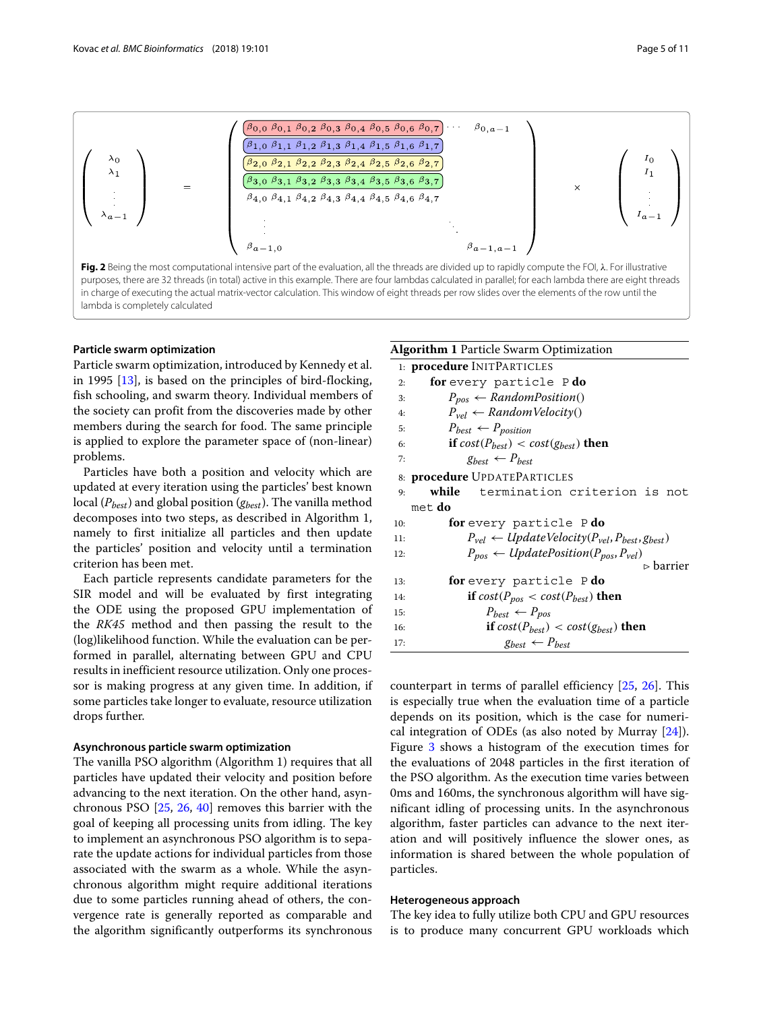

<span id="page-4-0"></span>purposes, there are 32 threads (in total) active in this example. There are four lambdas calculated in parallel; for each lambda there are eight threads in charge of executing the actual matrix-vector calculation. This window of eight threads per row slides over the elements of the row until the lambda is completely calculated

#### **Particle swarm optimization**

Particle swarm optimization, introduced by Kennedy et al. in 1995 [\[13\]](#page-9-8), is based on the principles of bird-flocking, fish schooling, and swarm theory. Individual members of the society can profit from the discoveries made by other members during the search for food. The same principle is applied to explore the parameter space of (non-linear) problems.

Particles have both a position and velocity which are updated at every iteration using the particles' best known local ( $P_{best}$ ) and global position ( $g_{best}$ ). The vanilla method decomposes into two steps, as described in Algorithm 1, namely to first initialize all particles and then update the particles' position and velocity until a termination criterion has been met.

Each particle represents candidate parameters for the SIR model and will be evaluated by first integrating the ODE using the proposed GPU implementation of the *RK45* method and then passing the result to the (log)likelihood function. While the evaluation can be performed in parallel, alternating between GPU and CPU results in inefficient resource utilization. Only one processor is making progress at any given time. In addition, if some particles take longer to evaluate, resource utilization drops further.

## **Asynchronous particle swarm optimization**

The vanilla PSO algorithm (Algorithm 1) requires that all particles have updated their velocity and position before advancing to the next iteration. On the other hand, asynchronous PSO [\[25,](#page-10-3) [26,](#page-10-4) [40\]](#page-10-18) removes this barrier with the goal of keeping all processing units from idling. The key to implement an asynchronous PSO algorithm is to separate the update actions for individual particles from those associated with the swarm as a whole. While the asynchronous algorithm might require additional iterations due to some particles running ahead of others, the convergence rate is generally reported as comparable and the algorithm significantly outperforms its synchronous

# **Algorithm 1** Particle Swarm Optimization

|     | 1: <b>procedure</b> INITPARTICLES                                |
|-----|------------------------------------------------------------------|
| 2:  | for every particle P do                                          |
| 3:  | $P_{pos} \leftarrow RandomPosition()$                            |
| 4:  | $P_{vel} \leftarrow RandomVelocity()$                            |
| 5:  | $P_{best} \leftarrow P_{position}$                               |
| 6:  | if $cost(P_{best}) < cost(g_{best})$ then                        |
| 7:  | $q_{hest} \leftarrow P_{hest}$                                   |
| 8:  | <b>procedure UPDATEPARTICLES</b>                                 |
| 9:  | termination criterion is not<br>while                            |
|     | met do                                                           |
| 10: | for every particle P do                                          |
| 11: | $P_{vel} \leftarrow UpdateVelocity(P_{vel}, P_{best}, g_{best})$ |
| 12: | $P_{pos} \leftarrow UpdatePosition(P_{pos}, P_{vel})$            |
|     | $\triangleright$ barrier                                         |
| 13: | for every particle P do                                          |
| 14: | if $cost(P_{pos} < cost(P_{best})$ then                          |
| 15: | $P_{best} \leftarrow P_{pos}$                                    |
| 16: | if $cost(P_{best}) < cost(g_{best})$ then                        |
| 17: | $g_{best} \leftarrow P_{best}$                                   |
|     |                                                                  |

counterpart in terms of parallel efficiency [\[25,](#page-10-3) [26\]](#page-10-4). This is especially true when the evaluation time of a particle depends on its position, which is the case for numerical integration of ODEs (as also noted by Murray [\[24\]](#page-10-2)). Figure [3](#page-5-0) shows a histogram of the execution times for the evaluations of 2048 particles in the first iteration of the PSO algorithm. As the execution time varies between 0ms and 160ms, the synchronous algorithm will have significant idling of processing units. In the asynchronous algorithm, faster particles can advance to the next iteration and will positively influence the slower ones, as information is shared between the whole population of particles.

#### **Heterogeneous approach**

The key idea to fully utilize both CPU and GPU resources is to produce many concurrent GPU workloads which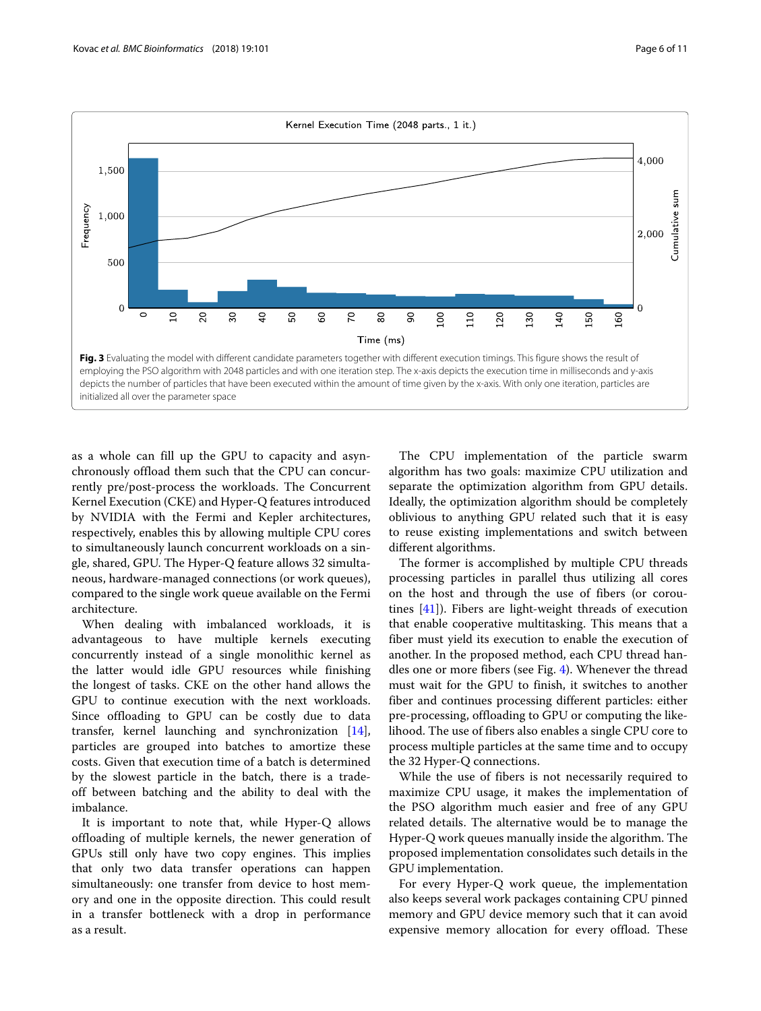

<span id="page-5-0"></span>as a whole can fill up the GPU to capacity and asynchronously offload them such that the CPU can concurrently pre/post-process the workloads. The Concurrent Kernel Execution (CKE) and Hyper-Q features introduced by NVIDIA with the Fermi and Kepler architectures, respectively, enables this by allowing multiple CPU cores to simultaneously launch concurrent workloads on a single, shared, GPU. The Hyper-Q feature allows 32 simultaneous, hardware-managed connections (or work queues), compared to the single work queue available on the Fermi architecture.

When dealing with imbalanced workloads, it is advantageous to have multiple kernels executing concurrently instead of a single monolithic kernel as the latter would idle GPU resources while finishing the longest of tasks. CKE on the other hand allows the GPU to continue execution with the next workloads. Since offloading to GPU can be costly due to data transfer, kernel launching and synchronization [\[14\]](#page-9-9), particles are grouped into batches to amortize these costs. Given that execution time of a batch is determined by the slowest particle in the batch, there is a tradeoff between batching and the ability to deal with the imbalance.

It is important to note that, while Hyper-Q allows offloading of multiple kernels, the newer generation of GPUs still only have two copy engines. This implies that only two data transfer operations can happen simultaneously: one transfer from device to host memory and one in the opposite direction. This could result in a transfer bottleneck with a drop in performance as a result.

The CPU implementation of the particle swarm algorithm has two goals: maximize CPU utilization and separate the optimization algorithm from GPU details. Ideally, the optimization algorithm should be completely oblivious to anything GPU related such that it is easy to reuse existing implementations and switch between different algorithms.

The former is accomplished by multiple CPU threads processing particles in parallel thus utilizing all cores on the host and through the use of fibers (or coroutines [\[41\]](#page-10-19)). Fibers are light-weight threads of execution that enable cooperative multitasking. This means that a fiber must yield its execution to enable the execution of another. In the proposed method, each CPU thread handles one or more fibers (see Fig. [4\)](#page-6-0). Whenever the thread must wait for the GPU to finish, it switches to another fiber and continues processing different particles: either pre-processing, offloading to GPU or computing the likelihood. The use of fibers also enables a single CPU core to process multiple particles at the same time and to occupy the 32 Hyper-Q connections.

While the use of fibers is not necessarily required to maximize CPU usage, it makes the implementation of the PSO algorithm much easier and free of any GPU related details. The alternative would be to manage the Hyper-Q work queues manually inside the algorithm. The proposed implementation consolidates such details in the GPU implementation.

For every Hyper-Q work queue, the implementation also keeps several work packages containing CPU pinned memory and GPU device memory such that it can avoid expensive memory allocation for every offload. These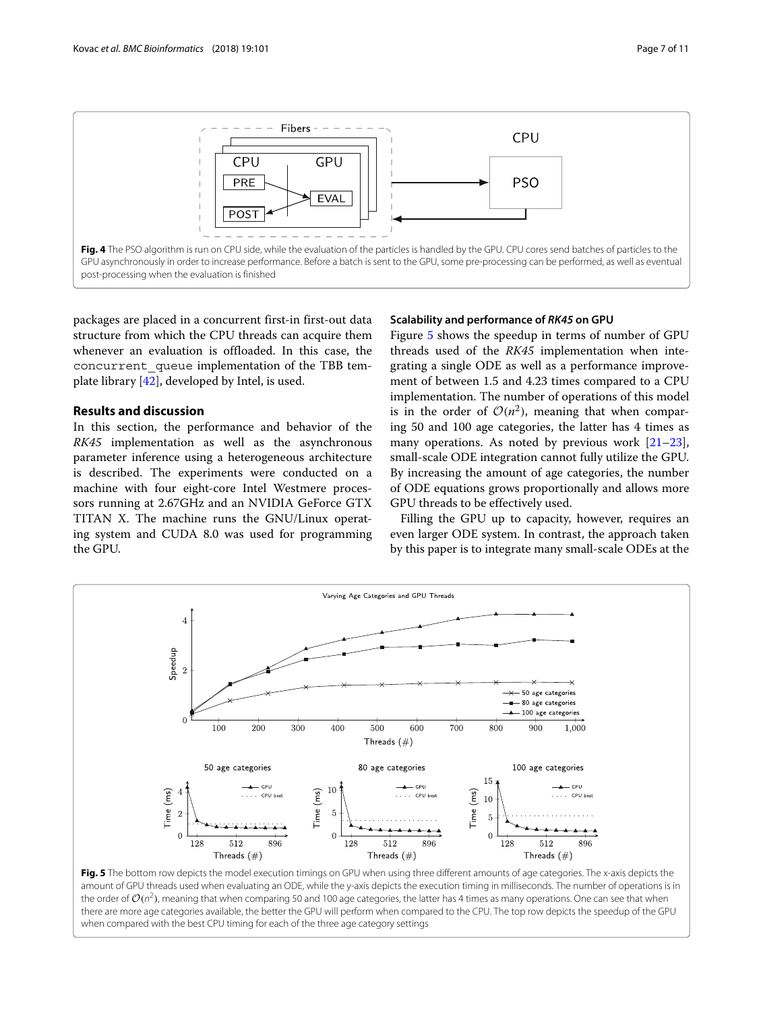

<span id="page-6-0"></span>packages are placed in a concurrent first-in first-out data structure from which the CPU threads can acquire them whenever an evaluation is offloaded. In this case, the concurrent\_queue implementation of the TBB template library  $[42]$ , developed by Intel, is used.

# **Results and discussion**

In this section, the performance and behavior of the *RK45* implementation as well as the asynchronous parameter inference using a heterogeneous architecture is described. The experiments were conducted on a machine with four eight-core Intel Westmere processors running at 2.67GHz and an NVIDIA GeForce GTX TITAN X. The machine runs the GNU/Linux operating system and CUDA 8.0 was used for programming the GPU.

# **Scalability and performance of** *RK45* **on GPU**

Figure [5](#page-6-1) shows the speedup in terms of number of GPU threads used of the *RK45* implementation when integrating a single ODE as well as a performance improvement of between 1.5 and 4.23 times compared to a CPU implementation. The number of operations of this model is in the order of  $O(n^2)$ , meaning that when comparing 50 and 100 age categories, the latter has 4 times as many operations. As noted by previous work  $[21-23]$  $[21-23]$ , small-scale ODE integration cannot fully utilize the GPU. By increasing the amount of age categories, the number of ODE equations grows proportionally and allows more GPU threads to be effectively used.

Filling the GPU up to capacity, however, requires an even larger ODE system. In contrast, the approach taken by this paper is to integrate many small-scale ODEs at the



<span id="page-6-1"></span>amount of GPU threads used when evaluating an ODE, while the y-axis depicts the execution timing in milliseconds. The number of operations is in the order of  $\mathcal{O}(n^2)$ , meaning that when comparing 50 and 100 age categories, the latter has 4 times as many operations. One can see that when there are more age categories available, the better the GPU will perform when compared to the CPU. The top row depicts the speedup of the GPU when compared with the best CPU timing for each of the three age category settings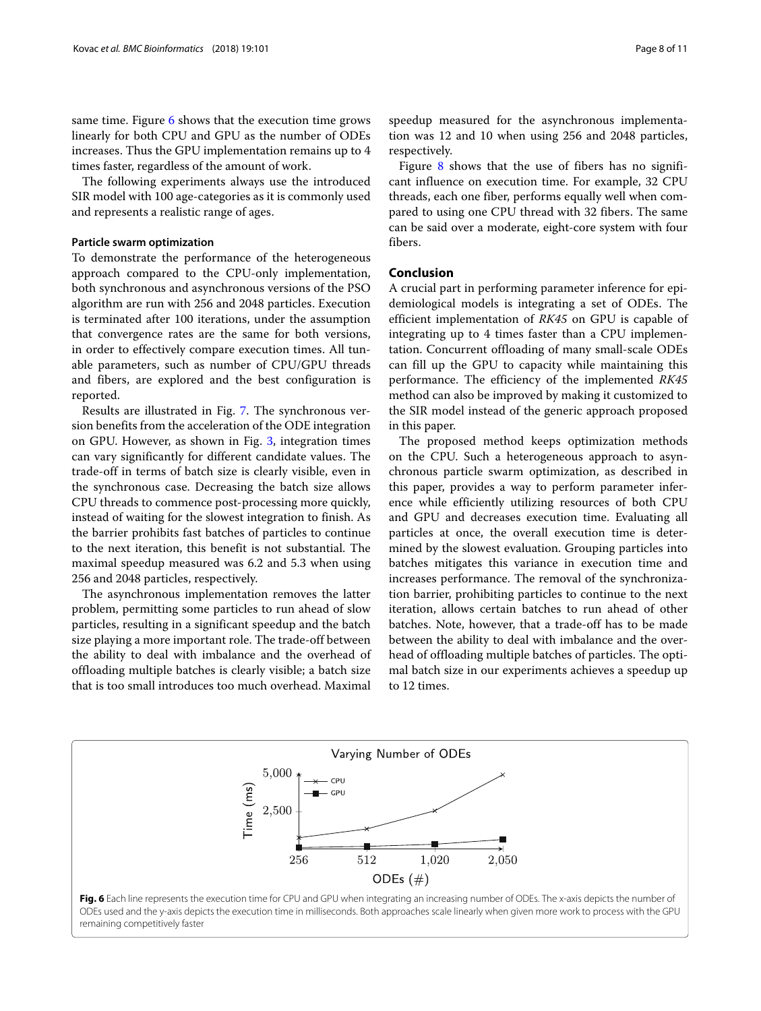same time. Figure [6](#page-7-0) shows that the execution time grows linearly for both CPU and GPU as the number of ODEs increases. Thus the GPU implementation remains up to 4 times faster, regardless of the amount of work.

The following experiments always use the introduced SIR model with 100 age-categories as it is commonly used and represents a realistic range of ages.

# **Particle swarm optimization**

To demonstrate the performance of the heterogeneous approach compared to the CPU-only implementation, both synchronous and asynchronous versions of the PSO algorithm are run with 256 and 2048 particles. Execution is terminated after 100 iterations, under the assumption that convergence rates are the same for both versions, in order to effectively compare execution times. All tunable parameters, such as number of CPU/GPU threads and fibers, are explored and the best configuration is reported.

Results are illustrated in Fig. [7.](#page-8-0) The synchronous version benefits from the acceleration of the ODE integration on GPU. However, as shown in Fig. [3,](#page-5-0) integration times can vary significantly for different candidate values. The trade-off in terms of batch size is clearly visible, even in the synchronous case. Decreasing the batch size allows CPU threads to commence post-processing more quickly, instead of waiting for the slowest integration to finish. As the barrier prohibits fast batches of particles to continue to the next iteration, this benefit is not substantial. The maximal speedup measured was 6.2 and 5.3 when using 256 and 2048 particles, respectively.

The asynchronous implementation removes the latter problem, permitting some particles to run ahead of slow particles, resulting in a significant speedup and the batch size playing a more important role. The trade-off between the ability to deal with imbalance and the overhead of offloading multiple batches is clearly visible; a batch size that is too small introduces too much overhead. Maximal

Figure [8](#page-8-1) shows that the use of fibers has no significant influence on execution time. For example, 32 CPU threads, each one fiber, performs equally well when compared to using one CPU thread with 32 fibers. The same can be said over a moderate, eight-core system with four fibers.

# **Conclusion**

A crucial part in performing parameter inference for epidemiological models is integrating a set of ODEs. The efficient implementation of *RK45* on GPU is capable of integrating up to 4 times faster than a CPU implementation. Concurrent offloading of many small-scale ODEs can fill up the GPU to capacity while maintaining this performance. The efficiency of the implemented *RK45* method can also be improved by making it customized to the SIR model instead of the generic approach proposed in this paper.

The proposed method keeps optimization methods on the CPU. Such a heterogeneous approach to asynchronous particle swarm optimization, as described in this paper, provides a way to perform parameter inference while efficiently utilizing resources of both CPU and GPU and decreases execution time. Evaluating all particles at once, the overall execution time is determined by the slowest evaluation. Grouping particles into batches mitigates this variance in execution time and increases performance. The removal of the synchronization barrier, prohibiting particles to continue to the next iteration, allows certain batches to run ahead of other batches. Note, however, that a trade-off has to be made between the ability to deal with imbalance and the overhead of offloading multiple batches of particles. The optimal batch size in our experiments achieves a speedup up to 12 times.

<span id="page-7-0"></span>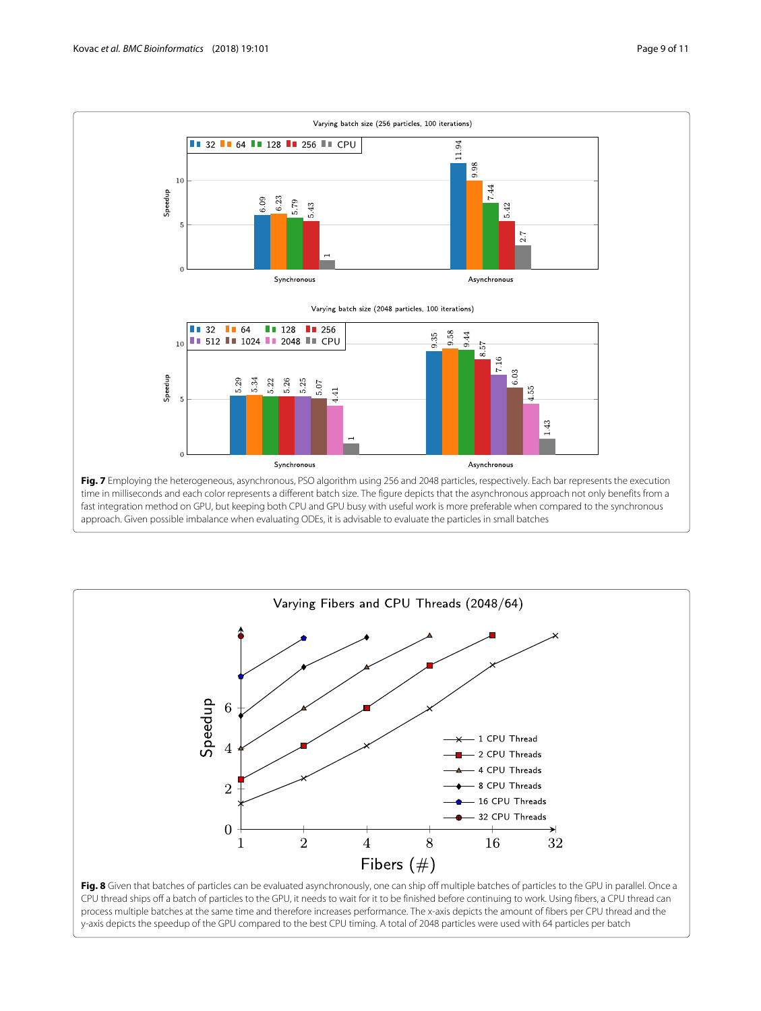

<span id="page-8-1"></span><span id="page-8-0"></span>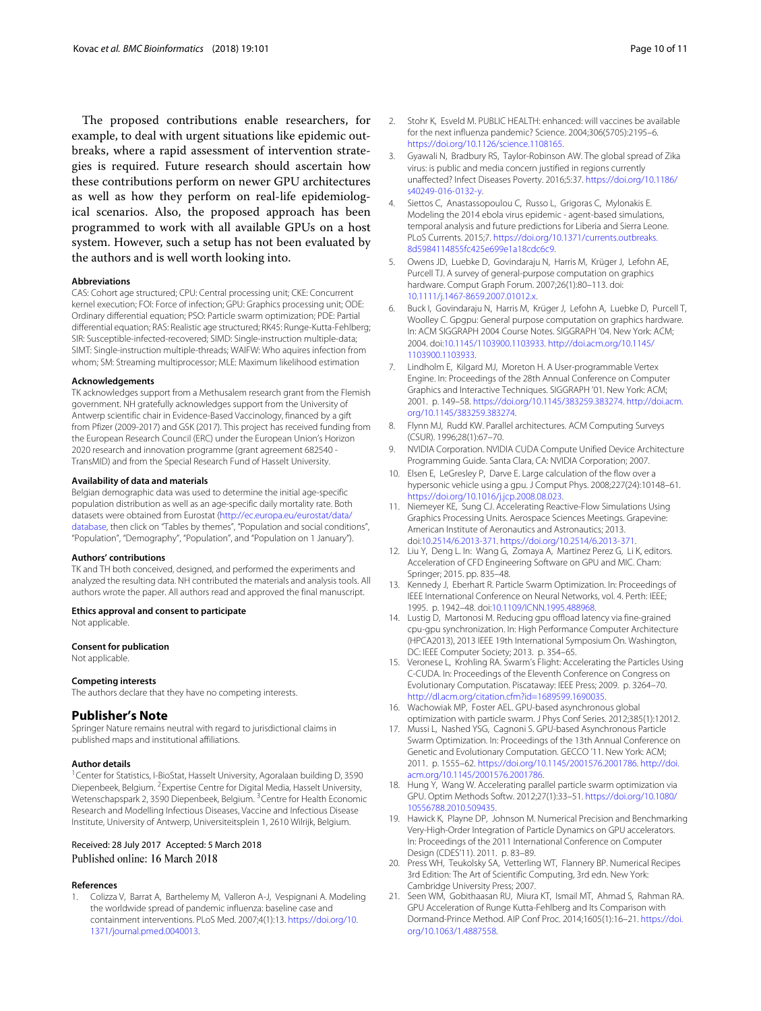The proposed contributions enable researchers, for example, to deal with urgent situations like epidemic outbreaks, where a rapid assessment of intervention strategies is required. Future research should ascertain how these contributions perform on newer GPU architectures as well as how they perform on real-life epidemiological scenarios. Also, the proposed approach has been programmed to work with all available GPUs on a host system. However, such a setup has not been evaluated by the authors and is well worth looking into.

#### **Abbreviations**

CAS: Cohort age structured; CPU: Central processing unit; CKE: Concurrent kernel execution; FOI: Force of infection; GPU: Graphics processing unit; ODE: Ordinary differential equation; PSO: Particle swarm optimization; PDE: Partial differential equation; RAS: Realistic age structured; RK45: Runge-Kutta-Fehlberg; SIR: Susceptible-infected-recovered; SIMD: Single-instruction multiple-data; SIMT: Single-instruction multiple-threads; WAIFW: Who aquires infection from whom; SM: Streaming multiprocessor; MLE: Maximum likelihood estimation

## **Acknowledgements**

TK acknowledges support from a Methusalem research grant from the Flemish government. NH gratefully acknowledges support from the University of Antwerp scientific chair in Evidence-Based Vaccinology, financed by a gift from Pfizer (2009-2017) and GSK (2017). This project has received funding from the European Research Council (ERC) under the European Union's Horizon 2020 research and innovation programme (grant agreement 682540 - TransMID) and from the Special Research Fund of Hasselt University.

#### **Availability of data and materials**

Belgian demographic data was used to determine the initial age-specific population distribution as well as an age-specific daily mortality rate. Both datasets were obtained from Eurostat [\(http://ec.europa.eu/eurostat/data/](http://ec.europa.eu/eurostat/data/database) [database,](http://ec.europa.eu/eurostat/data/database) then click on "Tables by themes", "Population and social conditions", "Population", "Demography", "Population", and "Population on 1 January").

#### **Authors' contributions**

TK and TH both conceived, designed, and performed the experiments and analyzed the resulting data. NH contributed the materials and analysis tools. All authors wrote the paper. All authors read and approved the final manuscript.

#### **Ethics approval and consent to participate**

Not applicable.

## **Consent for publication**

Not applicable.

#### **Competing interests**

The authors declare that they have no competing interests.

#### **Publisher's Note**

Springer Nature remains neutral with regard to jurisdictional claims in published maps and institutional affiliations.

#### **Author details**

<sup>1</sup> Center for Statistics, I-BioStat, Hasselt University, Agoralaan building D, 3590 Diepenbeek, Belgium. 2Expertise Centre for Digital Media, Hasselt University, Wetenschapspark 2, 3590 Diepenbeek, Belgium. 3Centre for Health Economic Research and Modelling Infectious Diseases, Vaccine and Infectious Disease Institute, University of Antwerp, Universiteitsplein 1, 2610 Wilrijk, Belgium.

## Received: 28 July 2017 Accepted: 5 March 2018 Published online: 16 March 2018

# **References**

<span id="page-9-0"></span>1. Colizza V, Barrat A, Barthelemy M, Valleron A-J, Vespignani A. Modeling the worldwide spread of pandemic influenza: baseline case and containment interventions. PLoS Med. 2007;4(1):13. [https://doi.org/10.](https://doi.org/10.1371/journal.pmed.0040013) [1371/journal.pmed.0040013.](https://doi.org/10.1371/journal.pmed.0040013)

- 2. Stohr K, Esveld M. PUBLIC HEALTH: enhanced: will vaccines be available for the next influenza pandemic? Science. 2004;306(5705):2195–6. [https://doi.org/10.1126/science.1108165.](https://doi.org/10.1126/science.1108165)
- 3. Gyawali N, Bradbury RS, Taylor-Robinson AW. The global spread of Zika virus: is public and media concern justified in regions currently unaffected? Infect Diseases Poverty. 2016;5:37. [https://doi.org/10.1186/](https://doi.org/10.1186/s40249-016-0132-y) [s40249-016-0132-y.](https://doi.org/10.1186/s40249-016-0132-y)
- <span id="page-9-1"></span>4. Siettos C, Anastassopoulou C, Russo L, Grigoras C, Mylonakis E. Modeling the 2014 ebola virus epidemic - agent-based simulations, temporal analysis and future predictions for Liberia and Sierra Leone. PLoS Currents. 2015;7. [https://doi.org/10.1371/currents.outbreaks.](https://doi.org/10.1371/currents.outbreaks.8d5984114855fc425e699e1a18cdc6c9) [8d5984114855fc425e699e1a18cdc6c9.](https://doi.org/10.1371/currents.outbreaks.8d5984114855fc425e699e1a18cdc6c9)
- <span id="page-9-2"></span>5. Owens JD, Luebke D, Govindaraju N, Harris M, Krüger J, Lefohn AE, Purcell TJ. A survey of general-purpose computation on graphics hardware. Comput Graph Forum. 2007;26(1):80–113. doi: [10.1111/j.1467-8659.2007.01012.x.](http://dx.doi.org/10.1111/j.1467-8659.2007.01012.x)
- 6. Buck I, Govindaraju N, Harris M, Krüger J, Lefohn A, Luebke D, Purcell T, Woolley C. Gpgpu: General purpose computation on graphics hardware. In: ACM SIGGRAPH 2004 Course Notes. SIGGRAPH '04. New York: ACM; 2004. do[i:10.1145/1103900.1103933.](http://dx.doi.org/10.1145/1103900.1103933) [http://doi.acm.org/10.1145/](http://doi.acm.org/10.1145/1103900.1103933) [1103900.1103933.](http://doi.acm.org/10.1145/1103900.1103933)
- <span id="page-9-3"></span>7. Lindholm E, Kilgard MJ, Moreton H. A User-programmable Vertex Engine. In: Proceedings of the 28th Annual Conference on Computer Graphics and Interactive Techniques. SIGGRAPH '01. New York: ACM; 2001. p. 149–58. [https://doi.org/10.1145/383259.383274.](https://doi.org/10.1145/383259.383274) [http://doi.acm.](http://doi.acm.org/10.1145/383259.383274) [org/10.1145/383259.383274.](http://doi.acm.org/10.1145/383259.383274)
- <span id="page-9-4"></span>8. Flynn MJ, Rudd KW. Parallel architectures. ACM Computing Surveys (CSUR). 1996;28(1):67–70.
- <span id="page-9-5"></span>9. NVIDIA Corporation. NVIDIA CUDA Compute Unified Device Architecture Programming Guide. Santa Clara, CA: NVIDIA Corporation; 2007.
- <span id="page-9-6"></span>10. Elsen E, LeGresley P, Darve E. Large calculation of the flow over a hypersonic vehicle using a gpu. J Comput Phys. 2008;227(24):10148–61. [https://doi.org/10.1016/j.jcp.2008.08.023.](https://doi.org/10.1016/j.jcp.2008.08.023)
- 11. Niemeyer KE, Sung CJ. Accelerating Reactive-Flow Simulations Using Graphics Processing Units. Aerospace Sciences Meetings. Grapevine: American Institute of Aeronautics and Astronautics; 2013. doi[:10.2514/6.2013-371.](http://dx.doi.org/10.2514/6.2013-371) [https://doi.org/10.2514/6.2013-371.](https://doi.org/10.2514/6.2013-371)
- <span id="page-9-7"></span>12. Liu Y, Deng L. In: Wang G, Zomaya A, Martinez Perez G, Li K, editors. Acceleration of CFD Engineering Software on GPU and MIC. Cham: Springer; 2015. pp. 835–48.
- <span id="page-9-8"></span>13. Kennedy J, Eberhart R. Particle Swarm Optimization. In: Proceedings of IEEE International Conference on Neural Networks, vol. 4. Perth: IEEE; 1995. p. 1942–48. doi[:10.1109/ICNN.1995.488968.](http://dx.doi.org/10.1109/ICNN.1995.488968)
- <span id="page-9-9"></span>14. Lustig D, Martonosi M. Reducing gpu offload latency via fine-grained cpu-gpu synchronization. In: High Performance Computer Architecture (HPCA2013), 2013 IEEE 19th International Symposium On. Washington, DC: IEEE Computer Society; 2013. p. 354–65.
- <span id="page-9-10"></span>15. Veronese L, Krohling RA. Swarm's Flight: Accelerating the Particles Using C-CUDA. In: Proceedings of the Eleventh Conference on Congress on Evolutionary Computation. Piscataway: IEEE Press; 2009. p. 3264–70. [http://dl.acm.org/citation.cfm?id=1689599.1690035.](http://dl.acm.org/citation.cfm?id=1689599.1690035)
- <span id="page-9-15"></span>16. Wachowiak MP, Foster AEL. GPU-based asynchronous global optimization with particle swarm. J Phys Conf Series. 2012;385(1):12012.
- <span id="page-9-16"></span>17. Mussi L, Nashed YSG, Cagnoni S. GPU-based Asynchronous Particle Swarm Optimization. In: Proceedings of the 13th Annual Conference on Genetic and Evolutionary Computation. GECCO '11. New York: ACM; 2011. p. 1555–62. [https://doi.org/10.1145/2001576.2001786.](https://doi.org/10.1145/2001576.2001786) [http://doi.](http://doi.acm.org/10.1145/2001576.2001786) [acm.org/10.1145/2001576.2001786.](http://doi.acm.org/10.1145/2001576.2001786)
- <span id="page-9-11"></span>18. Hung Y, Wang W. Accelerating parallel particle swarm optimization via GPU. Optim Methods Softw. 2012;27(1):33–51. [https://doi.org/10.1080/](https://doi.org/10.1080/10556788.2010.509435) 10556788.2010.509435
- <span id="page-9-12"></span>19. Hawick K, Playne DP, Johnson M. Numerical Precision and Benchmarking Very-High-Order Integration of Particle Dynamics on GPU accelerators. In: Proceedings of the 2011 International Conference on Computer Design (CDES'11). 2011. p. 83–89.
- <span id="page-9-13"></span>20. Press WH, Teukolsky SA, Vetterling WT, Flannery BP. Numerical Recipes 3rd Edition: The Art of Scientific Computing, 3rd edn. New York: Cambridge University Press; 2007.
- <span id="page-9-14"></span>21. Seen WM, Gobithaasan RU, Miura KT, Ismail MT, Ahmad S, Rahman RA. GPU Acceleration of Runge Kutta-Fehlberg and Its Comparison with Dormand-Prince Method. AIP Conf Proc. 2014;1605(1):16–21. [https://doi.](https://doi.org/10.1063/1.4887558) [org/10.1063/1.4887558.](https://doi.org/10.1063/1.4887558)